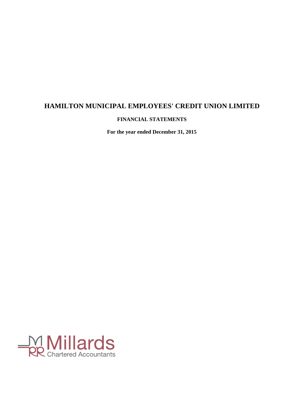**FINANCIAL STATEMENTS**

**For the year ended December 31, 2015**

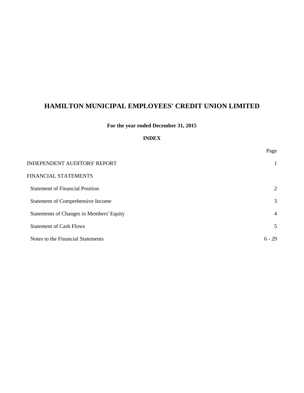## **For the year ended December 31, 2015**

### **INDEX**

|                                          | Page           |
|------------------------------------------|----------------|
| INDEPENDENT AUDITORS' REPORT             |                |
| FINANCIAL STATEMENTS                     |                |
| <b>Statement of Financial Position</b>   | 2              |
| Statement of Comprehensive Income        | 3              |
| Statements of Changes in Members' Equity | $\overline{4}$ |
| <b>Statement of Cash Flows</b>           | 5              |
| Notes to the Financial Statements        | $6 - 29$       |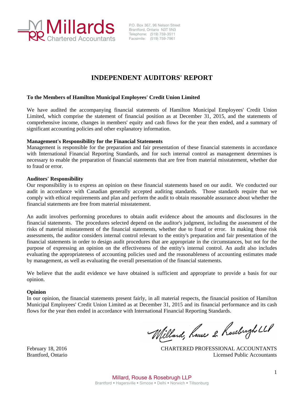

P.O. Box 367, 96 Nelson Street Brantford, Ontario N3T 5N3 Telephone: (519) 759-3511 Facsimile: (519) 759-7961

## **INDEPENDENT AUDITORS' REPORT**

#### **To the Members of Hamilton Municipal Employees' Credit Union Limited**

We have audited the accompanying financial statements of Hamilton Municipal Employees' Credit Union Limited, which comprise the statement of financial position as at December 31, 2015, and the statements of comprehensive income, changes in members' equity and cash flows for the year then ended, and a summary of significant accounting policies and other explanatory information.

#### **Management's Responsibility for the Financial Statements**

Management is responsible for the preparation and fair presentation of these financial statements in accordance with International Financial Reporting Standards, and for such internal control as management determines is necessary to enable the preparation of financial statements that are free from material misstatement, whether due to fraud or error.

#### **Auditors' Responsibility**

Our responsibility is to express an opinion on these financial statements based on our audit. We conducted our audit in accordance with Canadian generally accepted auditing standards. Those standards require that we comply with ethical requirements and plan and perform the audit to obtain reasonable assurance about whether the financial statements are free from material misstatement.

An audit involves performing procedures to obtain audit evidence about the amounts and disclosures in the financial statements. The procedures selected depend on the auditor's judgment, including the assessment of the risks of material misstatement of the financial statements, whether due to fraud or error. In making those risk assessments, the auditor considers internal control relevant to the entity's preparation and fair presentation of the financial statements in order to design audit procedures that are appropriate in the circumstances, but not for the purpose of expressing an opinion on the effectiveness of the entity's internal control. An audit also includes evaluating the appropriateness of accounting policies used and the reasonableness of accounting estimates made by management, as well as evaluating the overall presentation of the financial statements.

We believe that the audit evidence we have obtained is sufficient and appropriate to provide a basis for our opinion.

#### **Opinion**

In our opinion, the financial statements present fairly, in all material respects, the financial position of Hamilton Municipal Employees' Credit Union Limited as at December 31, 2015 and its financial performance and its cash flows for the year then ended in accordance with International Financial Reporting Standards.

Willard, house 2 Rosebragh LLP

February 18, 2016 CHARTERED PROFESSIONAL ACCOUNTANTS Brantford, Ontario Licensed Public Accountants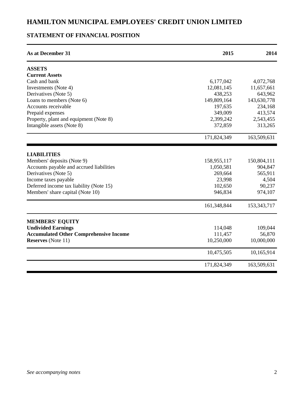## **STATEMENT OF FINANCIAL POSITION**

| As at December 31                             | 2015        | 2014        |
|-----------------------------------------------|-------------|-------------|
| <b>ASSETS</b>                                 |             |             |
| <b>Current Assets</b>                         |             |             |
| Cash and bank                                 | 6,177,042   | 4,072,768   |
| Investments (Note 4)                          | 12,081,145  | 11,657,661  |
| Derivatives (Note 5)                          | 438,253     | 643,962     |
| Loans to members (Note 6)                     | 149,809,164 | 143,630,778 |
| Accounts receivable                           | 197,635     | 234,168     |
| Prepaid expenses                              | 349,009     | 413,574     |
| Property, plant and equipment (Note 8)        | 2,399,242   | 2,543,455   |
| Intangible assets (Note 8)                    | 372,859     | 313,265     |
|                                               | 171,824,349 | 163,509,631 |
| <b>LIABILITIES</b>                            |             |             |
| Members' deposits (Note 9)                    | 158,955,117 | 150,804,111 |
| Accounts payable and accrued liabilities      | 1,050,581   | 904,847     |
| Derivatives (Note 5)                          | 269,664     | 565,911     |
| Income taxes payable                          | 23,998      | 4,504       |
| Deferred income tax liability (Note 15)       | 102,650     | 90,237      |
| Members' share capital (Note 10)              | 946,834     | 974,107     |
|                                               | 161,348,844 | 153,343,717 |
| <b>MEMBERS' EQUITY</b>                        |             |             |
| <b>Undivided Earnings</b>                     | 114,048     | 109,044     |
| <b>Accumulated Other Comprehensive Income</b> | 111,457     | 56,870      |
| <b>Reserves</b> (Note 11)                     | 10,250,000  | 10,000,000  |
|                                               |             |             |
|                                               | 10,475,505  | 10,165,914  |
|                                               | 171,824,349 | 163,509,631 |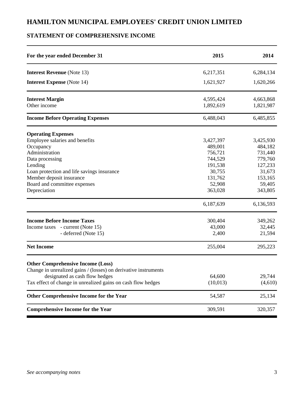## **STATEMENT OF COMPREHENSIVE INCOME**

| For the year ended December 31                                  | 2015                   | 2014                   |
|-----------------------------------------------------------------|------------------------|------------------------|
| <b>Interest Revenue</b> (Note 13)                               | 6,217,351              | 6,284,134              |
| <b>Interest Expense</b> (Note 14)                               | 1,621,927              | 1,620,266              |
| <b>Interest Margin</b><br>Other income                          | 4,595,424<br>1,892,619 | 4,663,868<br>1,821,987 |
| <b>Income Before Operating Expenses</b>                         | 6,488,043              | 6,485,855              |
| <b>Operating Expenses</b>                                       |                        |                        |
| Employee salaries and benefits                                  | 3,427,397              | 3,425,930              |
| Occupancy                                                       | 489,001                | 484,182                |
| Administration                                                  | 756,721                | 731,440                |
| Data processing                                                 | 744,529                | 779,760                |
| Lending                                                         | 191,538                | 127,233                |
| Loan protection and life savings insurance                      | 30,755                 | 31,673                 |
| Member deposit insurance                                        | 131,762                | 153,165                |
| Board and committee expenses                                    | 52,908                 | 59,405                 |
| Depreciation                                                    | 363,028                | 343,805                |
|                                                                 | 6,187,639              | 6,136,593              |
| <b>Income Before Income Taxes</b>                               | 300,404                | 349,262                |
| Income taxes - current (Note 15)                                | 43,000                 | 32,445                 |
| - deferred (Note 15)                                            | 2,400                  | 21,594                 |
| <b>Net Income</b>                                               | 255,004                | 295,223                |
| <b>Other Comprehensive Income (Loss)</b>                        |                        |                        |
| Change in unrealized gains / (losses) on derivative instruments |                        |                        |
| designated as cash flow hedges                                  | 64,600                 | 29,744                 |
| Tax effect of change in unrealized gains on cash flow hedges    | (10, 013)              | (4,610)                |
| <b>Other Comprehensive Income for the Year</b>                  | 54,587                 | 25,134                 |
| <b>Comprehensive Income for the Year</b>                        | 309,591                | 320,357                |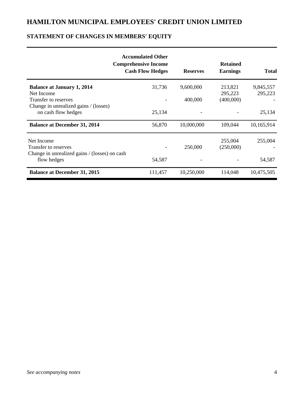## **STATEMENT OF CHANGES IN MEMBERS' EQUITY**

|                                               | <b>Accumulated Other</b><br><b>Comprehensive Income</b><br><b>Cash Flow Hedges</b> | <b>Reserves</b> | <b>Retained</b><br><b>Earnings</b> | <b>Total</b> |
|-----------------------------------------------|------------------------------------------------------------------------------------|-----------------|------------------------------------|--------------|
| <b>Balance at January 1, 2014</b>             | 31,736                                                                             | 9,600,000       | 213,821                            | 9,845,557    |
| Net Income                                    |                                                                                    |                 | 295,223                            | 295,223      |
| Transfer to reserves                          |                                                                                    | 400,000         | (400,000)                          |              |
| Change in unrealized gains / (losses)         |                                                                                    |                 |                                    |              |
| on cash flow hedges                           | 25,134                                                                             |                 |                                    | 25,134       |
| <b>Balance at December 31, 2014</b>           | 56,870                                                                             | 10,000,000      | 109,044                            | 10,165,914   |
| Net Income                                    |                                                                                    |                 | 255,004                            | 255,004      |
| Transfer to reserves                          |                                                                                    | 250,000         | (250,000)                          |              |
| Change in unrealized gains / (losses) on cash |                                                                                    |                 |                                    |              |
| flow hedges                                   | 54,587                                                                             |                 |                                    | 54,587       |
| <b>Balance at December 31, 2015</b>           | 111,457                                                                            | 10,250,000      | 114,048                            | 10,475,505   |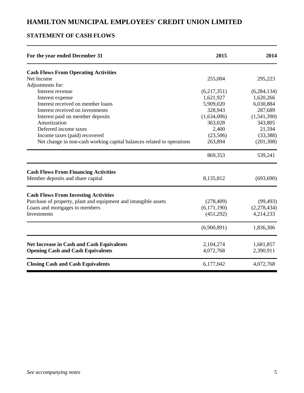## **STATEMENT OF CASH FLOWS**

| For the year ended December 31                                                               | 2015                   | 2014                   |
|----------------------------------------------------------------------------------------------|------------------------|------------------------|
| <b>Cash Flows From Operating Activities</b>                                                  |                        |                        |
| Net Income                                                                                   | 255,004                | 295,223                |
| Adjustments for:                                                                             |                        |                        |
| Interest revenue                                                                             | (6,217,351)            | (6, 284, 134)          |
| Interest expense                                                                             | 1,621,927              | 1,620,266              |
| Interest received on member loans                                                            | 5,909,020              | 6,030,884              |
| Interest received on investments                                                             | 328,943                | 287,689                |
| Interest paid on member deposits                                                             | (1,634,006)            | (1,541,390)            |
| Amortization                                                                                 | 363,028                | 343,805                |
| Deferred income taxes                                                                        | 2,400                  | 21,594                 |
| Income taxes (paid) recovered                                                                | (23,506)               | (33,388)               |
| Net change in non-cash working capital balances related to operations                        | 263,894                | (201, 308)             |
|                                                                                              | 869,353                | 539,241                |
| <b>Cash Flows From Financing Activities</b>                                                  |                        |                        |
| Member deposits and share capital                                                            | 8,135,812              | (693, 690)             |
| <b>Cash Flows From Investing Activities</b>                                                  |                        |                        |
| Purchase of property, plant and equipment and intangible assets                              | (278, 409)             | (99, 493)              |
| Loans and mortgages to members                                                               | (6,171,190)            | (2,278,434)            |
| Investments                                                                                  | (451,292)              | 4,214,233              |
|                                                                                              | (6,900,891)            | 1,836,306              |
|                                                                                              |                        |                        |
| <b>Net Increase in Cash and Cash Equivalents</b><br><b>Opening Cash and Cash Equivalents</b> | 2,104,274<br>4,072,768 | 1,681,857<br>2,390,911 |
| <b>Closing Cash and Cash Equivalents</b>                                                     | 6,177,042              | 4,072,768              |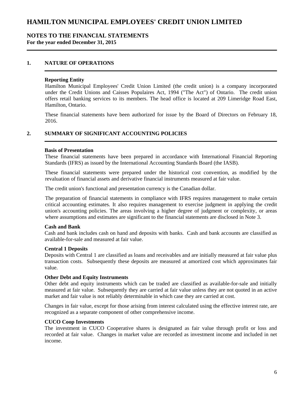### **NOTES TO THE FINANCIAL STATEMENTS For the year ended December 31, 2015**

### **1. NATURE OF OPERATIONS**

#### **Reporting Entity**

Hamilton Municipal Employees' Credit Union Limited (the credit union) is a company incorporated under the Credit Unions and Caisses Populaires Act, 1994 ("The Act") of Ontario. The credit union offers retail banking services to its members. The head office is located at 209 Limeridge Road East, Hamilton, Ontario.

These financial statements have been authorized for issue by the Board of Directors on February 18, 2016.

### **2. SUMMARY OF SIGNIFICANT ACCOUNTING POLICIES**

#### **Basis of Presentation**

These financial statements have been prepared in accordance with International Financial Reporting Standards (IFRS) as issued by the International Accounting Standards Board (the IASB).

These financial statements were prepared under the historical cost convention, as modified by the revaluation of financial assets and derivative financial instruments measured at fair value.

The credit union's functional and presentation currency is the Canadian dollar.

The preparation of financial statements in compliance with IFRS requires management to make certain critical accounting estimates. It also requires management to exercise judgment in applying the credit union's accounting policies. The areas involving a higher degree of judgment or complexity, or areas where assumptions and estimates are significant to the financial statements are disclosed in Note 3.

#### **Cash and Bank**

Cash and bank includes cash on hand and deposits with banks. Cash and bank accounts are classified as available-for-sale and measured at fair value.

#### **Central 1 Deposits**

Deposits with Central 1 are classified as loans and receivables and are initially measured at fair value plus transaction costs. Subsequently these deposits are measured at amortized cost which approximates fair value.

#### **Other Debt and Equity Instruments**

Other debt and equity instruments which can be traded are classified as available-for-sale and initially measured at fair value. Subsequently they are carried at fair value unless they are not quoted in an active market and fair value is not reliably determinable in which case they are carried at cost.

Changes in fair value, except for those arising from interest calculated using the effective interest rate, are recognized as a separate component of other comprehensive income.

#### **CUCO Coop Investments**

The investment in CUCO Cooperative shares is designated as fair value through profit or loss and recorded at fair value. Changes in market value are recorded as investment income and included in net income.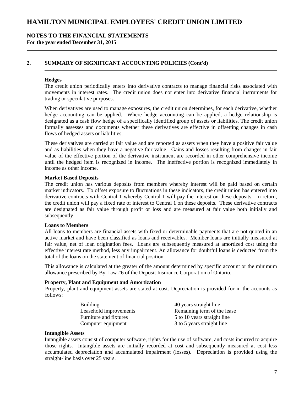### **NOTES TO THE FINANCIAL STATEMENTS For the year ended December 31, 2015**

### **2. SUMMARY OF SIGNIFICANT ACCOUNTING POLICIES (Cont'd)**

#### **Hedges**

The credit union periodically enters into derivative contracts to manage financial risks associated with movements in interest rates. The credit union does not enter into derivative financial instruments for trading or speculative purposes.

When derivatives are used to manage exposures, the credit union determines, for each derivative, whether hedge accounting can be applied. Where hedge accounting can be applied, a hedge relationship is designated as a cash flow hedge of a specifically identified group of assets or liabilities. The credit union formally assesses and documents whether these derivatives are effective in offsetting changes in cash flows of hedged assets or liabilities.

These derivatives are carried at fair value and are reported as assets when they have a positive fair value and as liabilities when they have a negative fair value. Gains and losses resulting from changes in fair value of the effective portion of the derivative instrument are recorded in other comprehensive income until the hedged item is recognized in income. The ineffective portion is recognized immediately in income as other income.

#### **Market Based Deposits**

The credit union has various deposits from members whereby interest will be paid based on certain market indicators. To offset exposure to fluctuations in these indicators, the credit union has entered into derivative contracts with Central 1 whereby Central 1 will pay the interest on these deposits. In return, the credit union will pay a fixed rate of interest to Central 1 on these deposits. These derivative contracts are designated as fair value through profit or loss and are measured at fair value both initially and subsequently.

#### **Loans to Members**

All loans to members are financial assets with fixed or determinable payments that are not quoted in an active market and have been classified as loans and receivables. Member loans are initially measured at fair value, net of loan origination fees. Loans are subsequently measured at amortized cost using the effective interest rate method, less any impairment. An allowance for doubtful loans is deducted from the total of the loans on the statement of financial position.

This allowance is calculated at the greater of the amount determined by specific account or the minimum allowance prescribed by By-Law #6 of the Deposit Insurance Corporation of Ontario.

#### **Property, Plant and Equipment and Amortization**

Property, plant and equipment assets are stated at cost. Depreciation is provided for in the accounts as follows:

| <b>Building</b>        | 40 years straight line      |
|------------------------|-----------------------------|
| Leasehold improvements | Remaining term of the lease |
| Furniture and fixtures | 5 to 10 years straight line |
| Computer equipment     | 3 to 5 years straight line  |

#### **Intangible Assets**

Intangible assets consist of computer software, rights for the use of software, and costs incurred to acquire those rights. Intangible assets are initially recorded at cost and subsequently measured at cost less accumulated depreciation and accumulated impairment (losses). Depreciation is provided using the straight-line basis over 25 years.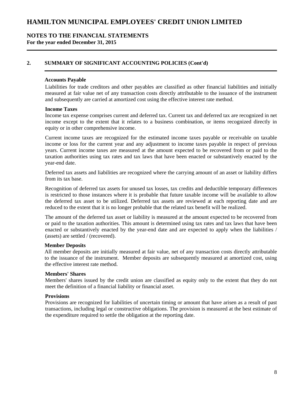### **NOTES TO THE FINANCIAL STATEMENTS For the year ended December 31, 2015**

### **2. SUMMARY OF SIGNIFICANT ACCOUNTING POLICIES (Cont'd)**

#### **Accounts Payable**

Liabilities for trade creditors and other payables are classified as other financial liabilities and initially measured at fair value net of any transaction costs directly attributable to the issuance of the instrument and subsequently are carried at amortized cost using the effective interest rate method.

### **Income Taxes**

Income tax expense comprises current and deferred tax. Current tax and deferred tax are recognized in net income except to the extent that it relates to a business combination, or items recognized directly in equity or in other comprehensive income.

Current income taxes are recognized for the estimated income taxes payable or receivable on taxable income or loss for the current year and any adjustment to income taxes payable in respect of previous years. Current income taxes are measured at the amount expected to be recovered from or paid to the taxation authorities using tax rates and tax laws that have been enacted or substantively enacted by the year-end date.

Deferred tax assets and liabilities are recognized where the carrying amount of an asset or liability differs from its tax base.

Recognition of deferred tax assets for unused tax losses, tax credits and deductible temporary differences is restricted to those instances where it is probable that future taxable income will be available to allow the deferred tax asset to be utilized. Deferred tax assets are reviewed at each reporting date and are reduced to the extent that it is no longer probable that the related tax benefit will be realized.

The amount of the deferred tax asset or liability is measured at the amount expected to be recovered from or paid to the taxation authorities. This amount is determined using tax rates and tax laws that have been enacted or substantively enacted by the year-end date and are expected to apply when the liabilities / (assets) are settled / (recovered).

#### **Member Deposits**

All member deposits are initially measured at fair value, net of any transaction costs directly attributable to the issuance of the instrument. Member deposits are subsequently measured at amortized cost, using the effective interest rate method.

#### **Members' Shares**

Members' shares issued by the credit union are classified as equity only to the extent that they do not meet the definition of a financial liability or financial asset.

#### **Provisions**

Provisions are recognized for liabilities of uncertain timing or amount that have arisen as a result of past transactions, including legal or constructive obligations. The provision is measured at the best estimate of the expenditure required to settle the obligation at the reporting date.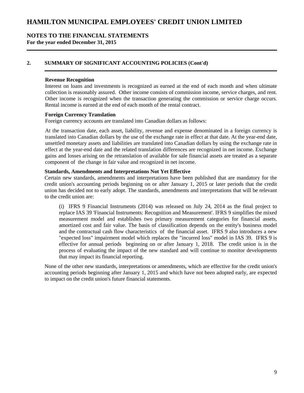### **NOTES TO THE FINANCIAL STATEMENTS For the year ended December 31, 2015**

### **2. SUMMARY OF SIGNIFICANT ACCOUNTING POLICIES (Cont'd)**

#### **Revenue Recognition**

Interest on loans and investments is recognized as earned at the end of each month and when ultimate collection is reasonably assured. Other income consists of commission income, service charges, and rent. Other income is recognized when the transaction generating the commission or service charge occurs. Rental income is earned at the end of each month of the rental contract.

### **Foreign Currency Translation**

Foreign currency accounts are translated into Canadian dollars as follows:

At the transaction date, each asset, liability, revenue and expense denominated in a foreign currency is translated into Canadian dollars by the use of the exchange rate in effect at that date. At the year-end date, unsettled monetary assets and liabilities are translated into Canadian dollars by using the exchange rate in effect at the year-end date and the related translation differences are recognized in net income. Exchange gains and losses arising on the retranslation of available for sale financial assets are treated as a separate component of the change in fair value and recognized in net income.

#### **Standards, Amendments and Interpretations Not Yet Effective**

Certain new standards, amendments and interpretations have been published that are mandatory for the credit union's accounting periods beginning on or after January 1, 2015 or later periods that the credit union has decided not to early adopt. The standards, amendments and interpretations that will be relevant to the credit union are:

(i) IFRS 9 Financial Instruments (2014) was released on July 24, 2014 as the final project to replace IAS 39 'Financial Instruments: Recognition and Measurement'. IFRS 9 simplifies the mixed measurement model and establishes two primary measurement categories for financial assets, amortized cost and fair value. The basis of classification depends on the entity's business model and the contractual cash flow characteristics of the financial asset. IFRS 9 also introduces a new "expected loss" impairment model which replaces the "incurred loss" model in IAS 39. IFRS 9 is effective for annual periods beginning on or after January 1, 2018. The credit union is in the process of evaluating the impact of the new standard and will continue to monitor developments that may impact its financial reporting.

None of the other new standards, interpretations or amendments, which are effective for the credit union's accounting periods beginning after January 1, 2015 and which have not been adopted early, are expected to impact on the credit union's future financial statements.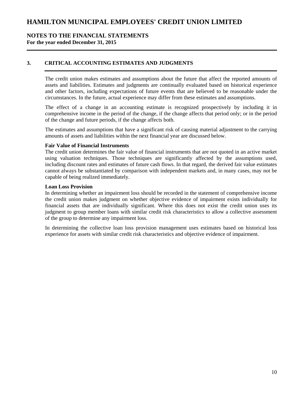### **NOTES TO THE FINANCIAL STATEMENTS For the year ended December 31, 2015**

### **3. CRITICAL ACCOUNTING ESTIMATES AND JUDGMENTS**

The credit union makes estimates and assumptions about the future that affect the reported amounts of assets and liabilities. Estimates and judgments are continually evaluated based on historical experience and other factors, including expectations of future events that are believed to be reasonable under the circumstances. In the future, actual experience may differ from these estimates and assumptions.

The effect of a change in an accounting estimate is recognized prospectively by including it in comprehensive income in the period of the change, if the change affects that period only; or in the period of the change and future periods, if the change affects both.

The estimates and assumptions that have a significant risk of causing material adjustment to the carrying amounts of assets and liabilities within the next financial year are discussed below.

#### **Fair Value of Financial Instruments**

The credit union determines the fair value of financial instruments that are not quoted in an active market using valuation techniques. Those techniques are significantly affected by the assumptions used, including discount rates and estimates of future cash flows. In that regard, the derived fair value estimates cannot always be substantiated by comparison with independent markets and, in many cases, may not be capable of being realized immediately.

#### **Loan Loss Provision**

In determining whether an impairment loss should be recorded in the statement of comprehensive income the credit union makes judgment on whether objective evidence of impairment exists individually for financial assets that are individually significant. Where this does not exist the credit union uses its judgment to group member loans with similar credit risk characteristics to allow a collective assessment of the group to determine any impairment loss.

In determining the collective loan loss provision management uses estimates based on historical loss experience for assets with similar credit risk characteristics and objective evidence of impairment.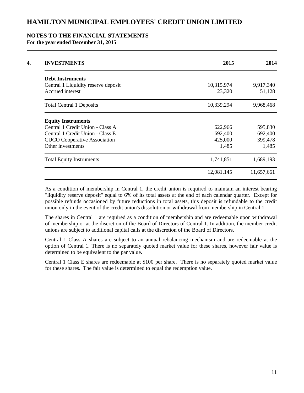### **NOTES TO THE FINANCIAL STATEMENTS For the year ended December 31, 2015**

| <b>INVESTMENTS</b>                  | 2015       | 2014       |
|-------------------------------------|------------|------------|
| <b>Debt Instruments</b>             |            |            |
| Central 1 Liquidity reserve deposit | 10,315,974 | 9,917,340  |
| Accrued interest                    | 23,320     | 51,128     |
| <b>Total Central 1 Deposits</b>     | 10,339,294 | 9,968,468  |
| <b>Equity Instruments</b>           |            |            |
| Central 1 Credit Union - Class A    | 622,966    | 595,830    |
| Central 1 Credit Union - Class E    | 692,400    | 692,400    |
| <b>CUCO</b> Cooperative Association | 425,000    | 399,478    |
| Other investments                   | 1,485      | 1,485      |
| <b>Total Equity Instruments</b>     | 1,741,851  | 1,689,193  |
|                                     | 12,081,145 | 11,657,661 |
|                                     |            |            |

As a condition of membership in Central 1, the credit union is required to maintain an interest bearing "liquidity reserve deposit" equal to 6% of its total assets at the end of each calendar quarter. Except for possible refunds occasioned by future reductions in total assets, this deposit is refundable to the credit union only in the event of the credit union's dissolution or withdrawal from membership in Central 1.

The shares in Central 1 are required as a condition of membership and are redeemable upon withdrawal of membership or at the discretion of the Board of Directors of Central 1. In addition, the member credit unions are subject to additional capital calls at the discretion of the Board of Directors.

Central 1 Class A shares are subject to an annual rebalancing mechanism and are redeemable at the option of Central 1. There is no separately quoted market value for these shares, however fair value is determined to be equivalent to the par value.

Central 1 Class E shares are redeemable at \$100 per share. There is no separately quoted market value for these shares. The fair value is determined to equal the redemption value.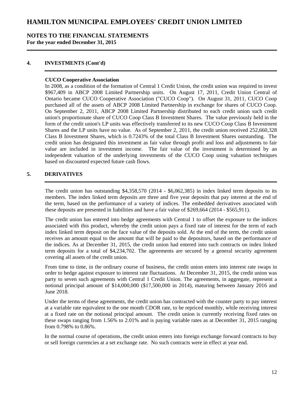### **NOTES TO THE FINANCIAL STATEMENTS For the year ended December 31, 2015**

### **4. INVESTMENTS (Cont'd)**

#### **CUCO Cooperative Association**

In 2008, as a condition of the formation of Central 1 Credit Union, the credit union was required to invest \$967,409 in ABCP 2008 Limited Partnership units. On August 17, 2011, Credit Union Central of Ontario became CUCO Cooperative Association ("CUCO Coop"). On August 31, 2011, CUCO Coop purchased all of the assets of ABCP 2008 Limited Partnership in exchange for shares of CUCO Coop. On September 2, 2011, ABCP 2008 Limited Partnership distributed to each credit union such credit union's proportionate share of CUCO Coop Class B Investment Shares. The value previously held in the form of the credit union's LP units was effectively transferred to its new CUCO Coop Class B Investment Shares and the LP units have no value. As of September 2, 2011, the credit union received 252,660,328 Class B Investment Shares, which is 0.7243% of the total Class B Investment Shares outstanding. The credit union has designated this investment as fair value through profit and loss and adjustments to fair value are included in investment income. The fair value of the investment is determined by an independent valuation of the underlying investments of the CUCO Coop using valuation techniques based on discounted expected future cash flows.

### **5. DERIVATIVES**

The credit union has outstanding \$4,358,570 (2014 - \$6,062,385) in index linked term deposits to its members. The index linked term deposits are three and five year deposits that pay interest at the end of the term, based on the performance of a variety of indices. The embedded derivatives associated with these deposits are presented in liabilities and have a fair value of \$269,664 (2014 - \$565,911).

The credit union has entered into hedge agreements with Central 1 to offset the exposure to the indices associated with this product, whereby the credit union pays a fixed rate of interest for the term of each index linked term deposit on the face value of the deposits sold. At the end of the term, the credit union receives an amount equal to the amount that will be paid to the depositors, based on the performance of the indices. As at December 31, 2015, the credit union had entered into such contracts on index linked term deposits for a total of \$4,234,702. The agreements are secured by a general security agreement covering all assets of the credit union.

From time to time, in the ordinary course of business, the credit union enters into interest rate swaps in order to hedge against exposure to interest rate fluctuations. At December 31, 2015, the credit union was party to seven such agreements with Central 1 Credit Union. The agreements, in aggregate, represent a notional principal amount of \$14,000,000 (\$17,500,000 in 2014), maturing between January 2016 and June 2018.

Under the terms of these agreements, the credit union has contracted with the counter party to pay interest at a variable rate equivalent to the one month CDOR rate, to be repriced monthly, while receiving interest at a fixed rate on the notional principal amount. The credit union is currently receiving fixed rates on these swaps ranging from 1.56% to 2.01% and is paying variable rates as at December 31, 2015 ranging from 0.798% to 0.86%.

In the normal course of operations, the credit union enters into foreign exchange forward contracts to buy or sell foreign currencies at a set exchange rate. No such contracts were in effect at year end.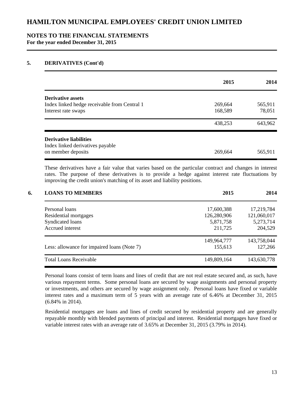### **NOTES TO THE FINANCIAL STATEMENTS For the year ended December 31, 2015**

### **5. DERIVATIVES (Cont'd)**

|                                                        | 2015    | 2014    |
|--------------------------------------------------------|---------|---------|
| <b>Derivative assets</b>                               |         |         |
| Index linked hedge receivable from Central 1           | 269,664 | 565,911 |
| Interest rate swaps                                    | 168,589 | 78,051  |
|                                                        | 438,253 | 643,962 |
| <b>Derivative liabilities</b>                          |         |         |
| Index linked derivatives payable<br>on member deposits | 269,664 | 565,911 |

These derivatives have a fair value that varies based on the particular contract and changes in interest rates. The purpose of these derivatives is to provide a hedge against interest rate fluctuations by improving the credit union's matching of its asset and liability positions.

| <b>LOANS TO MEMBERS</b>                     | 2015        | 2014        |
|---------------------------------------------|-------------|-------------|
| Personal loans                              | 17,600,388  | 17,219,784  |
| Residential mortgages                       | 126,280,906 | 121,060,017 |
| Syndicated loans                            | 5,871,758   | 5,273,714   |
| Accrued interest                            | 211,725     | 204,529     |
|                                             | 149,964,777 | 143,758,044 |
| Less: allowance for impaired loans (Note 7) | 155,613     | 127,266     |
| <b>Total Loans Receivable</b>               | 149,809,164 | 143,630,778 |

Personal loans consist of term loans and lines of credit that are not real estate secured and, as such, have various repayment terms. Some personal loans are secured by wage assignments and personal property or investments, and others are secured by wage assignment only. Personal loans have fixed or variable interest rates and a maximum term of 5 years with an average rate of 6.46% at December 31, 2015 (6.84% in 2014).

Residential mortgages are loans and lines of credit secured by residential property and are generally repayable monthly with blended payments of principal and interest. Residential mortgages have fixed or variable interest rates with an average rate of 3.65% at December 31, 2015 (3.79% in 2014).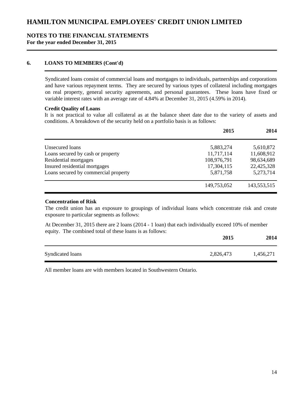### **NOTES TO THE FINANCIAL STATEMENTS For the year ended December 31, 2015**

### **6. LOANS TO MEMBERS (Cont'd)**

Syndicated loans consist of commercial loans and mortgages to individuals, partnerships and corporations and have various repayment terms. They are secured by various types of collateral including mortgages on real property, general security agreements, and personal guarantees. These loans have fixed or variable interest rates with an average rate of 4.84% at December 31, 2015 (4.59% in 2014).

### **Credit Quality of Loans**

It is not practical to value all collateral as at the balance sheet date due to the variety of assets and conditions. A breakdown of the security held on a portfolio basis is as follows:

|                                      | 2015        | 2014        |
|--------------------------------------|-------------|-------------|
| Unsecured loans                      | 5,883,274   | 5,610,872   |
| Loans secured by cash or property    | 11,717,114  | 11,608,912  |
| Residential mortgages                | 108,976,791 | 98,634,689  |
| Insured residential mortgages        | 17,304,115  | 22,425,328  |
| Loans secured by commercial property | 5,871,758   | 5,273,714   |
|                                      | 149,753,052 | 143,553,515 |

#### **Concentration of Risk**

The credit union has an exposure to groupings of individual loans which concentrate risk and create exposure to particular segments as follows:

At December 31, 2015 there are 2 loans (2014 - 1 loan) that each individually exceed 10% of member equity. The combined total of these loans is as follows:

|                  | 2015      | 2014      |
|------------------|-----------|-----------|
| Syndicated loans | 2,826,473 | 1,456,271 |

All member loans are with members located in Southwestern Ontario.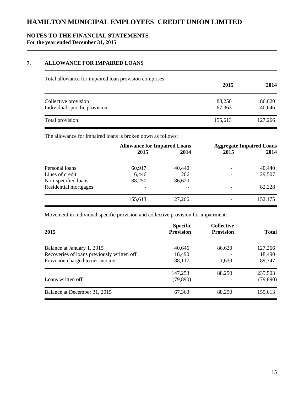### **NOTES TO THE FINANCIAL STATEMENTS For the year ended December 31, 2015**

## **7. ALLOWANCE FOR IMPAIRED LOANS**

| Total allowance for impaired loan provision comprises: | 2015             | 2014             |
|--------------------------------------------------------|------------------|------------------|
| Collective provision<br>Individual specific provision  | 88,250<br>67,363 | 86,620<br>40,646 |
| Total provision                                        | 155,613          | 127,266          |

The allowance for impaired loans is broken down as follows:

|                       | <b>Allowance for Impaired Loans</b><br>2014<br>2015 |         | <b>Aggregate Impaired Loans</b><br>2015 | 2014    |
|-----------------------|-----------------------------------------------------|---------|-----------------------------------------|---------|
| Personal loans        | 60,917                                              | 40,440  |                                         | 40,440  |
| Lines of credit       | 6,446                                               | 206     |                                         | 29,507  |
| Non-specified loans   | 88,250                                              | 86,620  |                                         |         |
| Residential mortgages | $\overline{\phantom{a}}$                            |         |                                         | 82,228  |
|                       | 155,613                                             | 127,266 |                                         | 152,175 |

Movement in individual specific provision and collective provision for impairment:

| 2015                                       | <b>Specific</b><br><b>Provision</b> | <b>Collective</b><br><b>Provision</b> | <b>Total</b> |
|--------------------------------------------|-------------------------------------|---------------------------------------|--------------|
| Balance at January 1, 2015                 | 40,646                              | 86,620                                | 127,266      |
| Recoveries of loans previously written off | 18,490                              |                                       | 18,490       |
| Provision charged to net income            | 88,117                              | 1,630                                 | 89,747       |
|                                            | 147,253                             | 88,250                                | 235,503      |
| Loans written off                          | (79, 890)                           |                                       | (79,890)     |
| Balance at December 31, 2015               | 67,363                              | 88,250                                | 155,613      |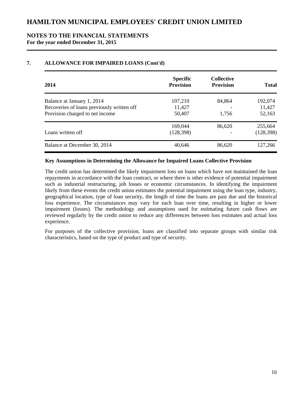### **NOTES TO THE FINANCIAL STATEMENTS For the year ended December 31, 2015**

| 2014                                       | <b>Specific</b><br><b>Provision</b> | <b>Collective</b><br><b>Provision</b> | <b>Total</b> |
|--------------------------------------------|-------------------------------------|---------------------------------------|--------------|
| Balance at January 1, 2014                 | 107,210                             | 84,864                                | 192,074      |
| Recoveries of loans previously written off | 11,427                              |                                       | 11,427       |
| Provision charged to net income            | 50,407                              | 1,756                                 | 52,163       |
|                                            | 169,044                             | 86,620                                | 255,664      |
| Loans written off                          | (128, 398)                          |                                       | (128, 398)   |
| Balance at December 30, 2014               | 40,646                              | 86,620                                | 127,266      |

### **7. ALLOWANCE FOR IMPAIRED LOANS (Cont'd)**

### **Key Assumptions in Determining the Allowance for Impaired Loans Collective Provision**

The credit union has determined the likely impairment loss on loans which have not maintained the loan repayments in accordance with the loan contract, or where there is other evidence of potential impairment such as industrial restructuring, job losses or economic circumstances. In identifying the impairment likely from these events the credit union estimates the potential impairment using the loan type, industry, geographical location, type of loan security, the length of time the loans are past due and the historical loss experience. The circumstances may vary for each loan over time, resulting in higher or lower impairment (losses). The methodology and assumptions used for estimating future cash flows are reviewed regularly by the credit union to reduce any differences between loss estimates and actual loss experience.

For purposes of the collective provision, loans are classified into separate groups with similar risk characteristics, based on the type of product and type of security.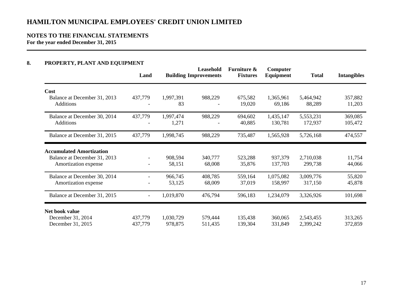### **NOTES TO THE FINANCIAL STATEMENTS**

**For the year ended December 31, 2015**

## **8. PROPERTY, PLANT AND EQUIPMENT**

|                                                      | Land                     |                      | Leasehold<br><b>Building Improvements</b> | Furniture &<br><b>Fixtures</b> | Computer<br>Equipment | <b>Total</b>           | <b>Intangibles</b> |
|------------------------------------------------------|--------------------------|----------------------|-------------------------------------------|--------------------------------|-----------------------|------------------------|--------------------|
| Cost                                                 |                          |                      |                                           |                                |                       |                        |                    |
| Balance at December 31, 2013<br>Additions            | 437,779                  | 1,997,391<br>83      | 988,229                                   | 675,582<br>19,020              | 1,365,961<br>69,186   | 5,464,942<br>88,289    | 357,882<br>11,203  |
| Balance at December 30, 2014<br><b>Additions</b>     | 437,779                  | 1,997,474<br>1,271   | 988,229                                   | 694,602<br>40,885              | 1,435,147<br>130,781  | 5,553,231<br>172,937   | 369,085<br>105,472 |
| Balance at December 31, 2015                         | 437,779                  | 1,998,745            | 988,229                                   | 735,487                        | 1,565,928             | 5,726,168              | 474,557            |
| <b>Accumulated Amortization</b>                      |                          |                      |                                           |                                |                       |                        |                    |
| Balance at December 31, 2013<br>Amortization expense | $\overline{\phantom{a}}$ | 908,594<br>58,151    | 340,777<br>68,008                         | 523,288<br>35,876              | 937,379<br>137,703    | 2,710,038<br>299,738   | 11,754<br>44,066   |
| Balance at December 30, 2014<br>Amortization expense | $\overline{\phantom{a}}$ | 966,745<br>53,125    | 408,785<br>68,009                         | 559,164<br>37,019              | 1,075,082<br>158,997  | 3,009,776<br>317,150   | 55,820<br>45,878   |
| Balance at December 31, 2015                         | $\overline{a}$           | 1,019,870            | 476,794                                   | 596,183                        | 1,234,079             | 3,326,926              | 101,698            |
| Net book value                                       |                          |                      |                                           |                                |                       |                        |                    |
| December 31, 2014<br>December 31, 2015               | 437,779<br>437,779       | 1,030,729<br>978,875 | 579,444<br>511,435                        | 135,438<br>139,304             | 360,065<br>331,849    | 2,543,455<br>2,399,242 | 313,265<br>372,859 |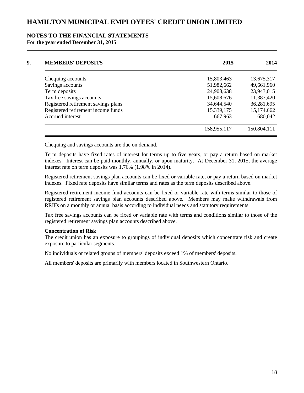#### **NOTES TO THE FINANCIAL STATEMENTS For the year ended December 31, 2015**

| <b>MEMBERS' DEPOSITS</b>            | 2015        | 2014        |
|-------------------------------------|-------------|-------------|
| Chequing accounts                   | 15,803,463  | 13,675,317  |
| Savings accounts                    | 51,982,662  | 49,661,960  |
| Term deposits                       | 24,908,638  | 23,943,015  |
| Tax free savings accounts           | 15,608,676  | 11,387,420  |
| Registered retirement savings plans | 34,644,540  | 36,281,695  |
| Registered retirement income funds  | 15,339,175  | 15,174,662  |
| Accrued interest                    | 667,963     | 680,042     |
|                                     | 158,955,117 | 150,804,111 |

Chequing and savings accounts are due on demand.

Term deposits have fixed rates of interest for terms up to five years, or pay a return based on market indexes. Interest can be paid monthly, annually, or upon maturity. At December 31, 2015, the average interest rate on term deposits was 1.76% (1.98% in 2014).

Registered retirement savings plan accounts can be fixed or variable rate, or pay a return based on market indexes. Fixed rate deposits have similar terms and rates as the term deposits described above.

Registered retirement income fund accounts can be fixed or variable rate with terms similar to those of registered retirement savings plan accounts described above. Members may make withdrawals from RRIFs on a monthly or annual basis according to individual needs and statutory requirements.

Tax free savings accounts can be fixed or variable rate with terms and conditions similar to those of the registered retirement savings plan accounts described above.

#### **Concentration of Risk**

The credit union has an exposure to groupings of individual deposits which concentrate risk and create exposure to particular segments.

No individuals or related groups of members' deposits exceed 1% of members' deposits.

All members' deposits are primarily with members located in Southwestern Ontario.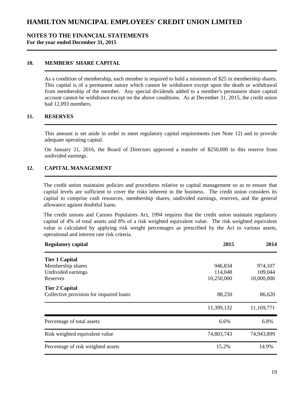### **NOTES TO THE FINANCIAL STATEMENTS For the year ended December 31, 2015**

### **10. MEMBERS' SHARE CAPITAL**

As a condition of membership, each member is required to hold a minimum of \$25 in membership shares. This capital is of a permanent nature which cannot be withdrawn except upon the death or withdrawal from membership of the member. Any special dividends added to a member's permanent share capital account cannot be withdrawn except on the above conditions. As at December 31, 2015, the credit union had 12,093 members.

#### **11. RESERVES**

This amount is set aside in order to meet regulatory capital requirements (see Note 12) and to provide adequate operating capital.

On January 21, 2016, the Board of Directors approved a transfer of \$250,000 to this reserve from undivided earnings.

### **12. CAPITAL MANAGEMENT**

The credit union maintains policies and procedures relative to capital management so as to ensure that capital levels are sufficient to cover the risks inherent in the business. The credit union considers its capital to comprise cash resources, membership shares, undivided earnings, reserves, and the general allowance against doubtful loans.

The credit unions and Caisses Populaires Act, 1994 requires that the credit union maintain regulatory capital of 4% of total assets and 8% of a risk weighted equivalent value. The risk weighted equivalent value is calculated by applying risk weight percentages as prescribed by the Act to various assets, operational and interest rate risk criteria.

| <b>Regulatory capital</b>               | 2015       | 2014       |
|-----------------------------------------|------------|------------|
| <b>Tier 1 Capital</b>                   |            |            |
| Membership shares                       | 946,834    | 974,107    |
| Undivided earnings                      | 114,048    | 109,044    |
| Reserves                                | 10,250,000 | 10,000,000 |
| <b>Tier 2 Capital</b>                   |            |            |
| Collective provision for impaired loans | 88,250     | 86,620     |
|                                         | 11,399,132 | 11,169,771 |
| Percentage of total assets              | 6.6%       | 6.8%       |
| Risk weighted equivalent value          | 74,803,743 | 74,943,899 |
| Percentage of risk weighted assets      | 15.2%      | 14.9%      |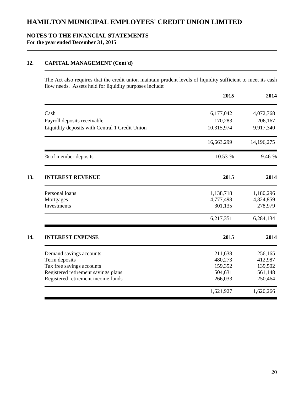### **NOTES TO THE FINANCIAL STATEMENTS For the year ended December 31, 2015**

## **12. CAPITAL MANAGEMENT (Cont'd)**

The Act also requires that the credit union maintain prudent levels of liquidity sufficient to meet its cash flow needs. Assets held for liquidity purposes include:

|                                                | 2015       | 2014       |
|------------------------------------------------|------------|------------|
| Cash                                           | 6,177,042  | 4,072,768  |
| Payroll deposits receivable                    | 170,283    | 206,167    |
| Liquidity deposits with Central 1 Credit Union | 10,315,974 | 9,917,340  |
|                                                | 16,663,299 | 14,196,275 |
| % of member deposits                           | 10.53 %    | 9.46 %     |
| <b>INTEREST REVENUE</b>                        | 2015       | 2014       |
| Personal loans                                 | 1,138,718  | 1,180,296  |
| Mortgages                                      | 4,777,498  | 4,824,859  |
| <b>Investments</b>                             | 301,135    | 278,979    |
|                                                | 6,217,351  | 6,284,134  |
| <b>INTEREST EXPENSE</b>                        | 2015       | 2014       |
| Demand savings accounts                        | 211,638    | 256,165    |
| Term deposits                                  | 480,273    | 412,987    |
| Tax free savings accounts                      | 159,352    | 139,502    |
| Registered retirement savings plans            | 504,631    | 561,148    |
| Registered retirement income funds             | 266,033    | 250,464    |
|                                                | 1,621,927  | 1,620,266  |
|                                                |            |            |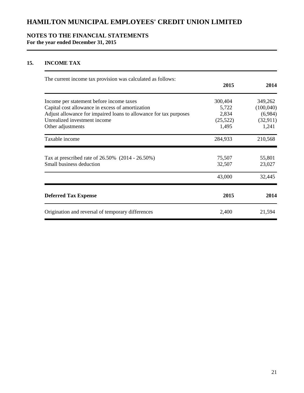### **NOTES TO THE FINANCIAL STATEMENTS For the year ended December 31, 2015**

### **15. INCOME TAX**

| The current income tax provision was calculated as follows:       |           |           |
|-------------------------------------------------------------------|-----------|-----------|
|                                                                   | 2015      | 2014      |
| Income per statement before income taxes                          | 300,404   | 349,262   |
| Capital cost allowance in excess of amortization                  | 5,722     | (100,040) |
| Adjust allowance for impaired loans to allowance for tax purposes | 2,834     | (6,984)   |
| Unrealized investment income                                      | (25, 522) | (32, 911) |
| Other adjustments                                                 | 1,495     | 1,241     |
| Taxable income                                                    | 284,933   | 210,568   |
| Tax at prescribed rate of 26.50% (2014 - 26.50%)                  | 75,507    | 55,801    |
| Small business deduction                                          | 32,507    | 23,027    |
|                                                                   | 43,000    | 32,445    |
| <b>Deferred Tax Expense</b>                                       | 2015      | 2014      |
| Origination and reversal of temporary differences                 | 2,400     | 21,594    |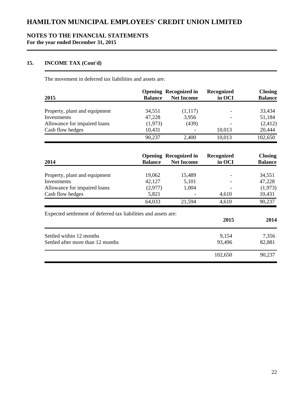### **NOTES TO THE FINANCIAL STATEMENTS For the year ended December 31, 2015**

## **15. INCOME TAX (Cont'd)**

The movement in deferred tax liabilities and assets are:

| 2015                          | <b>Balance</b> | <b>Opening Recognized in</b><br><b>Net Income</b> | Recognized<br>in OCI | <b>Closing</b><br><b>Balance</b> |
|-------------------------------|----------------|---------------------------------------------------|----------------------|----------------------------------|
| Property, plant and equipment | 34,551         | (1,117)                                           |                      | 33,434                           |
| Investments                   | 47,228         | 3,956                                             |                      | 51,184                           |
| Allowance for impaired loans  | (1,973)        | (439)                                             |                      | (2,412)                          |
| Cash flow hedges              | 10,431         |                                                   | 10,013               | 20,444                           |
|                               | 90,237         | 2,400                                             | 10,013               | 102,650                          |

| 2014                                                            | <b>Balance</b> | <b>Opening Recognized in</b><br><b>Net Income</b> | Recognized<br>in OCI | <b>Closing</b><br><b>Balance</b> |
|-----------------------------------------------------------------|----------------|---------------------------------------------------|----------------------|----------------------------------|
|                                                                 |                |                                                   |                      |                                  |
| Property, plant and equipment                                   | 19,062         | 15,489                                            |                      | 34,551                           |
| Investments                                                     | 42,127         | 5,101                                             |                      | 47,228                           |
| Allowance for impaired loans                                    | (2,977)        | 1,004                                             |                      | (1,973)                          |
| Cash flow hedges                                                | 5,821          |                                                   | 4,610                | 10,431                           |
|                                                                 | 64,033         | 21,594                                            | 4,610                | 90,237                           |
| Expected settlement of deferred tax liabilities and assets are: |                |                                                   | 2015                 | 2014                             |
| Settled within 12 months                                        |                |                                                   | 9,154                | 7,356                            |
| Settled after more than 12 months                               |                |                                                   | 93,496               | 82,881                           |
|                                                                 |                |                                                   |                      |                                  |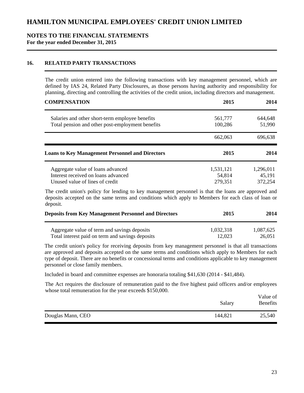### **NOTES TO THE FINANCIAL STATEMENTS For the year ended December 31, 2015**

### **16. RELATED PARTY TRANSACTIONS**

The credit union entered into the following transactions with key management personnel, which are defined by IAS 24, Related Party Disclosures, as those persons having authority and responsibility for planning, directing and controlling the activities of the credit union, including directors and management.

| <b>COMPENSATION</b>                                    | 2015      | 2014      |
|--------------------------------------------------------|-----------|-----------|
| Salaries and other short-term employee benefits        | 561,777   | 644,648   |
| Total pension and other post-employment benefits       | 100,286   | 51,990    |
|                                                        | 662,063   | 696,638   |
| <b>Loans to Key Management Personnel and Directors</b> | 2015      | 2014      |
| Aggregate value of loans advanced                      | 1,531,121 | 1,296,011 |
| Interest received on loans advanced                    | 54,814    | 45,191    |
| Unused value of lines of credit                        | 279,351   | 372,254   |

The credit union's policy for lending to key management personnel is that the loans are approved and deposits accepted on the same terms and conditions which apply to Members for each class of loan or deposit.

| <b>Deposits from Key Management Personnel and Directors</b> | 2015      | 2014      |  |
|-------------------------------------------------------------|-----------|-----------|--|
| Aggregate value of term and savings deposits                | 1.032.318 | 1,087,625 |  |
| Total interest paid on term and savings deposits            | 12,023    | 26,051    |  |

The credit union's policy for receiving deposits from key management personnel is that all transactions are approved and deposits accepted on the same terms and conditions which apply to Members for each type of deposit. There are no benefits or concessional terms and conditions applicable to key management personnel or close family members.

Included in board and committee expenses are honoraria totaling \$41,630 (2014 - \$41,484).

The Act requires the disclosure of remuneration paid to the five highest paid officers and/or employees whose total remuneration for the year exceeds \$150,000.

|                   | Salary  | Value of<br><b>Benefits</b> |
|-------------------|---------|-----------------------------|
| Douglas Mann, CEO | 144,821 | 25,540                      |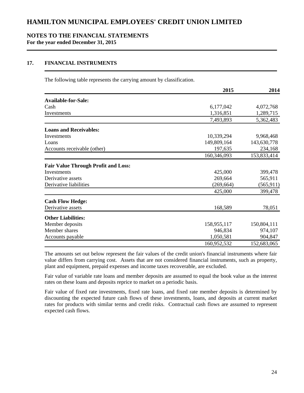### **NOTES TO THE FINANCIAL STATEMENTS For the year ended December 31, 2015**

### **17. FINANCIAL INSTRUMENTS**

The following table represents the carrying amount by classification.

|                                            | 2015        | 2014        |
|--------------------------------------------|-------------|-------------|
| <b>Available-for-Sale:</b>                 |             |             |
| Cash                                       | 6,177,042   | 4,072,768   |
| Investments                                | 1,316,851   | 1,289,715   |
|                                            | 7,493,893   | 5,362,483   |
| <b>Loans and Receivables:</b>              |             |             |
| Investments                                | 10,339,294  | 9,968,468   |
| Loans                                      | 149,809,164 | 143,630,778 |
| Accounts receivable (other)                | 197,635     | 234,168     |
|                                            | 160,346,093 | 153,833,414 |
| <b>Fair Value Through Profit and Loss:</b> |             |             |
| <b>Investments</b>                         | 425,000     | 399,478     |
| Derivative assets                          | 269,664     | 565,911     |
| Derivative liabilities                     | (269, 664)  | (565, 911)  |
|                                            | 425,000     | 399,478     |
| <b>Cash Flow Hedge:</b>                    |             |             |
| Derivative assets                          | 168,589     | 78,051      |
| <b>Other Liabilities:</b>                  |             |             |
| Member deposits                            | 158,955,117 | 150,804,111 |
| Member shares                              | 946,834     | 974,107     |
| Accounts payable                           | 1,050,581   | 904,847     |
|                                            | 160,952,532 | 152,683,065 |

The amounts set out below represent the fair values of the credit union's financial instruments where fair value differs from carrying cost. Assets that are not considered financial instruments, such as property, plant and equipment, prepaid expenses and income taxes recoverable, are excluded.

Fair value of variable rate loans and member deposits are assumed to equal the book value as the interest rates on these loans and deposits reprice to market on a periodic basis.

Fair value of fixed rate investments, fixed rate loans, and fixed rate member deposits is determined by discounting the expected future cash flows of these investments, loans, and deposits at current market rates for products with similar terms and credit risks. Contractual cash flows are assumed to represent expected cash flows.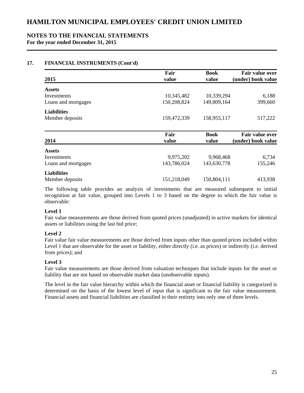### **NOTES TO THE FINANCIAL STATEMENTS For the year ended December 31, 2015**

#### **2015 Fair value Book value Fair value over (under) book value Assets** Investments 6,188 Loans and mortgages 150,208,824 149,809,164 399,660 **Liabilities** Member deposits 159,472,339 158,955,117 517,222 **2014 Fair value Book value Fair value over (under) book value Assets** Investments 6,734 Loans and mortgages 143,786,024 143,630,778 155,246 **Liabilities** Member deposits 151,218,049 150,804,111 413,938

### **17. FINANCIAL INSTRUMENTS (Cont'd)**

The following table provides an analysis of investments that are measured subsequent to initial recognition at fair value, grouped into Levels 1 to 3 based on the degree to which the fair value is observable:

### **Level 1**

Fair value measurements are those derived from quoted prices (unadjusted) in active markets for identical assets or liabilities using the last bid price;

### **Level 2**

Fair value fair value measurements are those derived from inputs other than quoted prices included within Level 1 that are observable for the asset or liability, either directly (i.e. as prices) or indirectly (i.e. derived from prices); and

### **Level 3**

Fair value measurements are those derived from valuation techniques that include inputs for the asset or liability that are not based on observable market data (unobservable inputs).

The level in the fair value hierarchy within which the financial asset or financial liability is categorized is determined on the basis of the lowest level of input that is significant to the fair value measurement. Financial assets and financial liabilities are classified in their entirety into only one of three levels.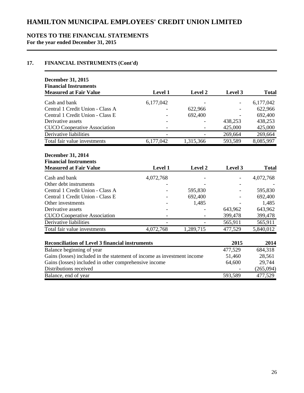### **NOTES TO THE FINANCIAL STATEMENTS For the year ended December 31, 2015**

## **17. FINANCIAL INSTRUMENTS (Cont'd)**

| <b>December 31, 2015</b><br><b>Financial Instruments</b>                                  |           |           |         |              |
|-------------------------------------------------------------------------------------------|-----------|-----------|---------|--------------|
| <b>Measured at Fair Value</b>                                                             | Level 1   | Level 2   | Level 3 | <b>Total</b> |
| Cash and bank                                                                             | 6,177,042 |           |         | 6,177,042    |
| Central 1 Credit Union - Class A                                                          |           | 622,966   |         | 622,966      |
| Central 1 Credit Union - Class E                                                          |           | 692,400   |         | 692,400      |
| Derivative assets                                                                         |           |           | 438,253 | 438,253      |
| <b>CUCO</b> Cooperative Association                                                       |           |           | 425,000 | 425,000      |
| Derivative liabilities                                                                    |           |           | 269,664 | 269,664      |
| Total fair value investments                                                              | 6,177,042 | 1,315,366 | 593,589 | 8,085,997    |
| <b>December 31, 2014</b><br><b>Financial Instruments</b><br><b>Measured at Fair Value</b> | Level 1   | Level 2   | Level 3 | <b>Total</b> |
| Cash and bank                                                                             | 4,072,768 |           |         | 4,072,768    |
| Other debt instruments                                                                    |           |           |         |              |
| Central 1 Credit Union - Class A                                                          |           | 595,830   |         | 595,830      |
| Central 1 Credit Union - Class E                                                          |           | 692,400   |         | 692,400      |
| Other investments                                                                         |           | 1,485     |         | 1,485        |
| Derivative assets                                                                         |           |           | 643,962 | 643,962      |
| <b>CUCO Cooperative Association</b>                                                       |           |           | 399,478 | 399,478      |
| Derivative liabilities                                                                    |           |           | 565,911 | 565,911      |
| Total fair value investments                                                              | 4,072,768 | 1,289,715 | 477,529 | 5,840,012    |
| <b>Reconciliation of Level 3 financial instruments</b>                                    |           |           | 2015    | 2014         |
| Balance beginning of year                                                                 | 477,529   | 684,318   |         |              |
| Gains (losses) included in the statement of income as investment income                   | 51,460    | 28,561    |         |              |
| Gains (losses) included in other comprehensive income                                     | 64,600    | 29,744    |         |              |
| Distributions received                                                                    |           |           |         | (265,094)    |
| Balance, end of year                                                                      |           |           | 593,589 | 477,529      |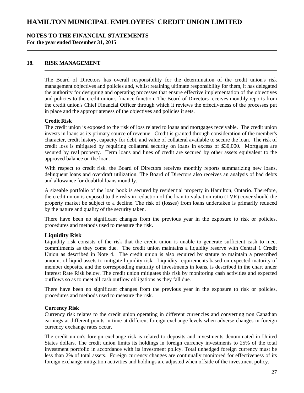### **NOTES TO THE FINANCIAL STATEMENTS For the year ended December 31, 2015**

### **18. RISK MANAGEMENT**

The Board of Directors has overall responsibility for the determination of the credit union's risk management objectives and policies and, whilst retaining ultimate responsibility for them, it has delegated the authority for designing and operating processes that ensure effective implementation of the objectives and policies to the credit union's finance function. The Board of Directors receives monthly reports from the credit union's Chief Financial Officer through which it reviews the effectiveness of the processes put in place and the appropriateness of the objectives and policies it sets.

### **Credit Risk**

The credit union is exposed to the risk of loss related to loans and mortgages receivable. The credit union invests in loans as its primary source of revenue. Credit is granted through consideration of the member's character, credit history, capacity for debt, and value of collateral available to secure the loan. The risk of credit loss is mitigated by requiring collateral security on loans in excess of \$30,000. Mortgages are secured by real property. Term loans and lines of credit are secured by other assets equivalent to the approved balance on the loan.

With respect to credit risk, the Board of Directors receives monthly reports summarizing new loans, delinquent loans and overdraft utilization. The Board of Directors also receives an analysis of bad debts and allowance for doubtful loans monthly.

A sizeable portfolio of the loan book is secured by residential property in Hamilton, Ontario. Therefore, the credit union is exposed to the risks in reduction of the loan to valuation ratio (LVR) cover should the property market be subject to a decline. The risk of (losses) from loans undertaken is primarily reduced by the nature and quality of the security taken.

There have been no significant changes from the previous year in the exposure to risk or policies, procedures and methods used to measure the risk.

### **Liquidity Risk**

Liquidity risk consists of the risk that the credit union is unable to generate sufficient cash to meet commitments as they come due. The credit union maintains a liquidity reserve with Central 1 Credit Union as described in Note 4. The credit union is also required by statute to maintain a prescribed amount of liquid assets to mitigate liquidity risk. Liquidity requirements based on expected maturity of member deposits, and the corresponding maturity of investments in loans, is described in the chart under Interest Rate Risk below. The credit union mitigates this risk by monitoring cash activities and expected outflows so as to meet all cash outflow obligations as they fall due.

There have been no significant changes from the previous year in the exposure to risk or policies, procedures and methods used to measure the risk.

### **Currency Risk**

Currency risk relates to the credit union operating in different currencies and converting non Canadian earnings at different points in time at different foreign exchange levels when adverse changes in foreign currency exchange rates occur.

The credit union's foreign exchange risk is related to deposits and investments denominated in United States dollars. The credit union limits its holdings in foreign currency investments to 25% of the total investment portfolio in accordance with its investment policy. Total unhedged foreign currency must be less than 2% of total assets. Foreign currency changes are continually monitored for effectiveness of its foreign exchange mitigation activities and holdings are adjusted when offside of the investment policy.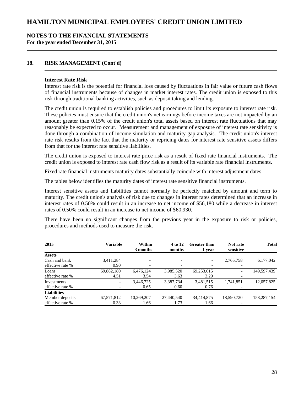### **NOTES TO THE FINANCIAL STATEMENTS For the year ended December 31, 2015**

### **18. RISK MANAGEMENT (Cont'd)**

#### **Interest Rate Risk**

Interest rate risk is the potential for financial loss caused by fluctuations in fair value or future cash flows of financial instruments because of changes in market interest rates. The credit union is exposed to this risk through traditional banking activities, such as deposit taking and lending.

The credit union is required to establish policies and procedures to limit its exposure to interest rate risk. These policies must ensure that the credit union's net earnings before income taxes are not impacted by an amount greater than 0.15% of the credit union's total assets based on interest rate fluctuations that may reasonably be expected to occur. Measurement and management of exposure of interest rate sensitivity is done through a combination of income simulation and maturity gap analysis. The credit union's interest rate risk results from the fact that the maturity or repricing dates for interest rate sensitive assets differs from that for the interest rate sensitive liabilities.

The credit union is exposed to interest rate price risk as a result of fixed rate financial instruments. The credit union is exposed to interest rate cash flow risk as a result of its variable rate financial instruments.

Fixed rate financial instruments maturity dates substantially coincide with interest adjustment dates.

The tables below identifies the maturity dates of interest rate sensitive financial instruments.

Interest sensitive assets and liabilities cannot normally be perfectly matched by amount and term to maturity. The credit union's analysis of risk due to changes in interest rates determined that an increase in interest rates of 0.50% could result in an increase to net income of \$56,180 while a decrease in interest rates of 0.50% could result in an increase to net income of \$60,930.

There have been no significant changes from the previous year in the exposure to risk or policies, procedures and methods used to measure the risk.

| 2015               | Variable                 | Within<br>3 months | 4 to 12<br>months | <b>Greater than</b><br>1 year | Not rate<br>sensitive    | <b>Total</b> |
|--------------------|--------------------------|--------------------|-------------------|-------------------------------|--------------------------|--------------|
| <b>Assets</b>      |                          |                    |                   |                               |                          |              |
| Cash and bank      | 3,411,284                |                    |                   |                               | 2,765,758                | 6,177,042    |
| effective rate %   | 0.90                     |                    |                   |                               |                          |              |
| Loans              | 69,882,180               | 6,476,124          | 3,985,520         | 69,253,615                    | $\overline{\phantom{0}}$ | 149,597,439  |
| effective rate %   | 4.51                     | 3.54               | 3.63              | 3.29                          | $\overline{\phantom{0}}$ |              |
| Investments        | $\overline{\phantom{a}}$ | 3,446,725          | 3,387,734         | 3,481,515                     | 1,741,851                | 12,057,825   |
| effective rate %   |                          | 0.65               | 0.60              | 0.76                          |                          |              |
| <b>Liabilities</b> |                          |                    |                   |                               |                          |              |
| Member deposits    | 67,571,812               | 10,269,207         | 27,440,540        | 34,414,875                    | 18,590,720               | 158,287,154  |
| effective rate %   | 0.33                     | 1.66               | 1.73              | 1.66                          |                          |              |